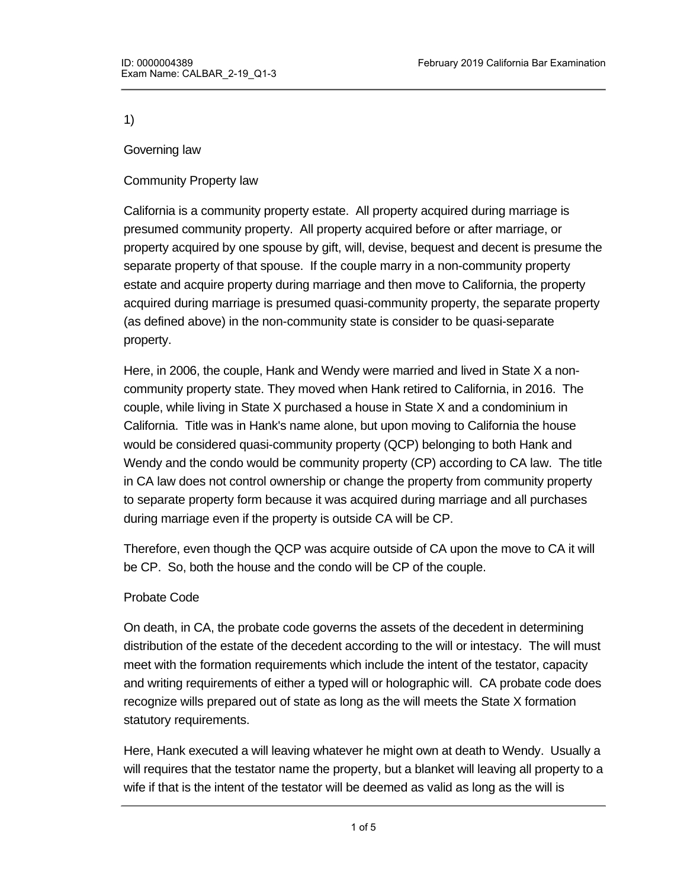1)

Governing law

### Community Property law

California is a community property estate. All property acquired during marriage is presumed community property. All property acquired before or after marriage, or property acquired by one spouse by gift, will, devise, bequest and decent is presume the separate property of that spouse. If the couple marry in a non-community property estate and acquire property during marriage and then move to California, the property acquired during marriage is presumed quasi-community property, the separate property (as defined above) in the non-community state is consider to be quasi-separate property.

Here, in 2006, the couple, Hank and Wendy were married and lived in State X a noncommunity property state. They moved when Hank retired to California, in 2016. The couple, while living in State X purchased a house in State X and a condominium in California. Title was in Hank's name alone, but upon moving to California the house would be considered quasi-community property (QCP) belonging to both Hank and Wendy and the condo would be community property (CP) according to CA law. The title in CA law does not control ownership or change the property from community property to separate property form because it was acquired during marriage and all purchases during marriage even if the property is outside CA will be CP.

Therefore, even though the QCP was acquire outside of CA upon the move to CA it will be CP. So, both the house and the condo will be CP of the couple.

### Probate Code

On death, in CA, the probate code governs the assets of the decedent in determining distribution of the estate of the decedent according to the will or intestacy. The will must meet with the formation requirements which include the intent of the testator, capacity and writing requirements of either a typed will or holographic will. CA probate code does recognize wills prepared out of state as long as the will meets the State X formation statutory requirements.

Here, Hank executed a will leaving whatever he might own at death to Wendy. Usually a will requires that the testator name the property, but a blanket will leaving all property to a wife if that is the intent of the testator will be deemed as valid as long as the will is

signed, has a testator declaration to gift the property, and properly with the property, and properly with the<br>'' Hank's with the properly witness and properly witness and properly with the properly with the properly with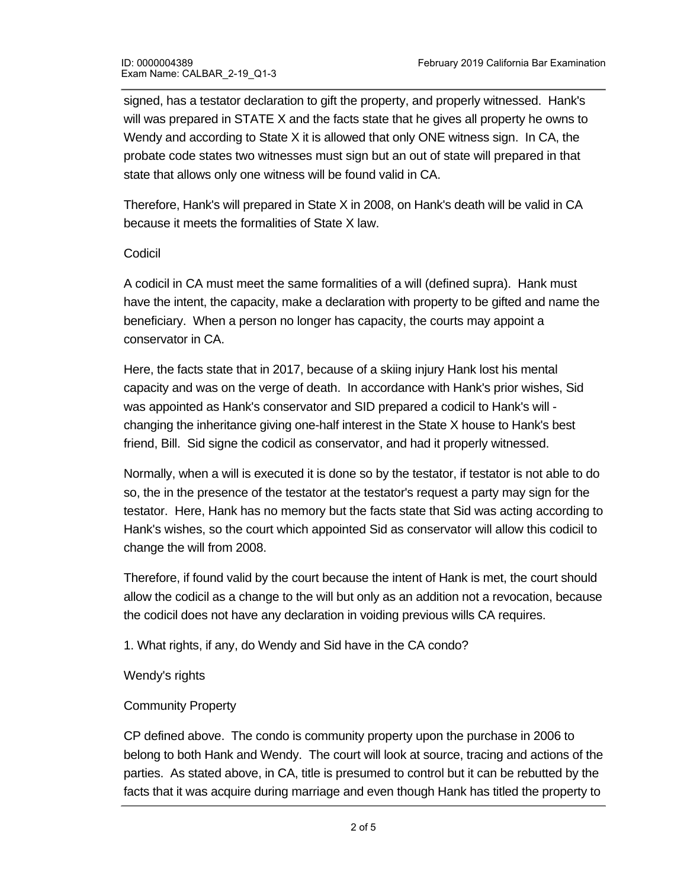signed, has a testator declaration to gift the property, and properly witnessed. Hank's will was prepared in STATE X and the facts state that he gives all property he owns to Wendy and according to State X it is allowed that only ONE witness sign. In CA, the probate code states two witnesses must sign but an out of state will prepared in that state that allows only one witness will be found valid in CA.

Therefore, Hank's will prepared in State X in 2008, on Hank's death will be valid in CA because it meets the formalities of State X law.

# Codicil

A codicil in CA must meet the same formalities of a will (defined supra). Hank must have the intent, the capacity, make a declaration with property to be gifted and name the beneficiary. When a person no longer has capacity, the courts may appoint a conservator in CA.

Here, the facts state that in 2017, because of a skiing injury Hank lost his mental capacity and was on the verge of death. In accordance with Hank's prior wishes, Sid was appointed as Hank's conservator and SID prepared a codicil to Hank's will changing the inheritance giving one-half interest in the State X house to Hank's best friend, Bill. Sid signe the codicil as conservator, and had it properly witnessed.

Normally, when a will is executed it is done so by the testator, if testator is not able to do so, the in the presence of the testator at the testator's request a party may sign for the testator. Here, Hank has no memory but the facts state that Sid was acting according to Hank's wishes, so the court which appointed Sid as conservator will allow this codicil to change the will from 2008.

Therefore, if found valid by the court because the intent of Hank is met, the court should allow the codicil as a change to the will but only as an addition not a revocation, because the codicil does not have any declaration in voiding previous wills CA requires.

1. What rights, if any, do Wendy and Sid have in the CA condo?

### Wendy's rights

# Community Property

CP defined above. The condo is community property upon the purchase in 2006 to belong to both Hank and Wendy. The court will look at source, tracing and actions of the parties. As stated above, in CA, title is presumed to control but it can be rebutted by the facts that it was acquire during marriage and even though Hank has titled the property to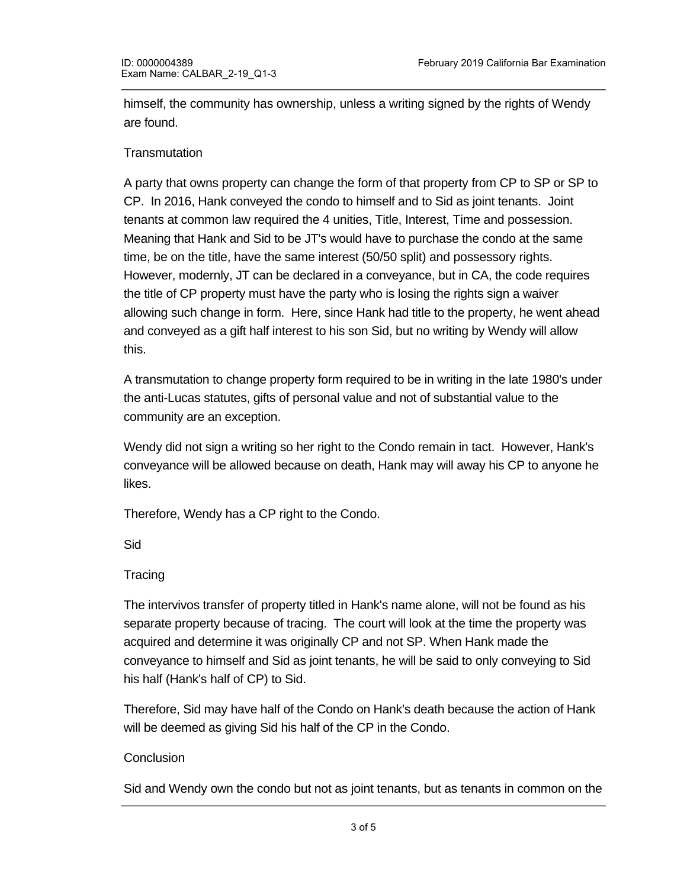himself, the community has ownership, unless a writing signed by the rights of Wendy are found.

# **Transmutation**

A party that owns property can change the form of that property from CP to SP or SP to CP. In 2016, Hank conveyed the condo to himself and to Sid as joint tenants. Joint tenants at common law required the 4 unities, Title, Interest, Time and possession. Meaning that Hank and Sid to be JT's would have to purchase the condo at the same time, be on the title, have the same interest (50/50 split) and possessory rights. However, modernly, JT can be declared in a conveyance, but in CA, the code requires the title of CP property must have the party who is losing the rights sign a waiver allowing such change in form. Here, since Hank had title to the property, he went ahead and conveyed as a gift half interest to his son Sid, but no writing by Wendy will allow this.

A transmutation to change property form required to be in writing in the late 1980's under the anti-Lucas statutes, gifts of personal value and not of substantial value to the community are an exception.

Wendy did not sign a writing so her right to the Condo remain in tact. However, Hank's conveyance will be allowed because on death, Hank may will away his CP to anyone he likes.

Therefore, Wendy has a CP right to the Condo.

Sid

### **Tracing**

The intervivos transfer of property titled in Hank's name alone, will not be found as his separate property because of tracing. The court will look at the time the property was acquired and determine it was originally CP and not SP. When Hank made the conveyance to himself and Sid as joint tenants, he will be said to only conveying to Sid his half (Hank's half of CP) to Sid.

Therefore, Sid may have half of the Condo on Hank's death because the action of Hank will be deemed as giving Sid his half of the CP in the Condo.

### **Conclusion**

death of Hank.

Sid and Wendy own the condo but not as joint tenants, but as tenants in common on the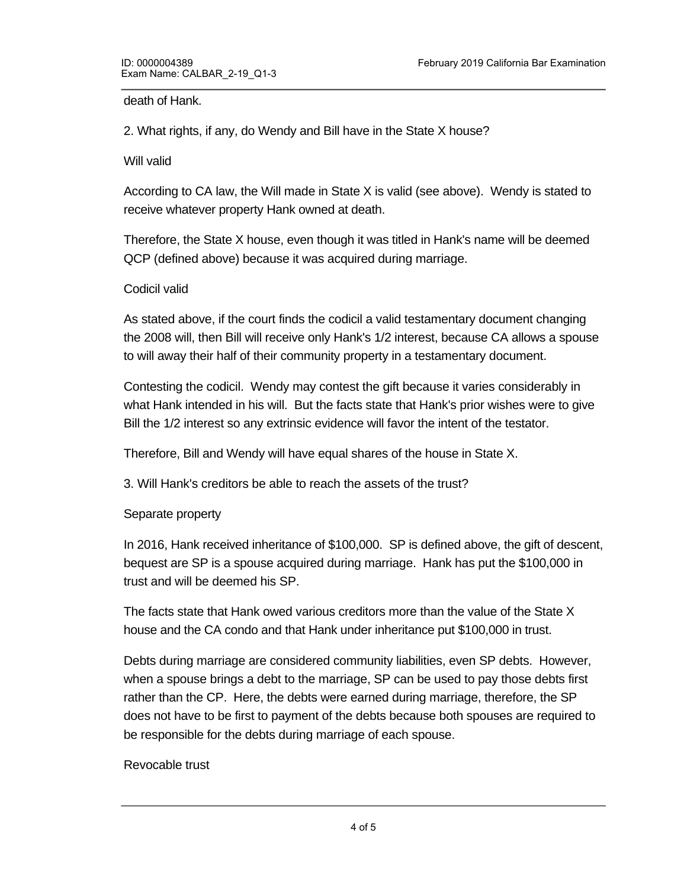death of Hank.

2. What rights, if any, do Wendy and Bill have in the State X house?

#### Will valid

According to CA law, the Will made in State X is valid (see above). Wendy is stated to receive whatever property Hank owned at death.

Therefore, the State X house, even though it was titled in Hank's name will be deemed QCP (defined above) because it was acquired during marriage.

#### Codicil valid

As stated above, if the court finds the codicil a valid testamentary document changing the 2008 will, then Bill will receive only Hank's 1/2 interest, because CA allows a spouse to will away their half of their community property in a testamentary document.

Contesting the codicil. Wendy may contest the gift because it varies considerably in what Hank intended in his will. But the facts state that Hank's prior wishes were to give Bill the 1/2 interest so any extrinsic evidence will favor the intent of the testator.

Therefore, Bill and Wendy will have equal shares of the house in State X.

3. Will Hank's creditors be able to reach the assets of the trust?

#### Separate property

In 2016, Hank received inheritance of \$100,000. SP is defined above, the gift of descent, bequest are SP is a spouse acquired during marriage. Hank has put the \$100,000 in trust and will be deemed his SP.

The facts state that Hank owed various creditors more than the value of the State X house and the CA condo and that Hank under inheritance put \$100,000 in trust.

Debts during marriage are considered community liabilities, even SP debts. However, when a spouse brings a debt to the marriage, SP can be used to pay those debts first rather than the CP. Here, the debts were earned during marriage, therefore, the SP does not have to be first to payment of the debts because both spouses are required to be responsible for the debts during marriage of each spouse.

### Revocable trust